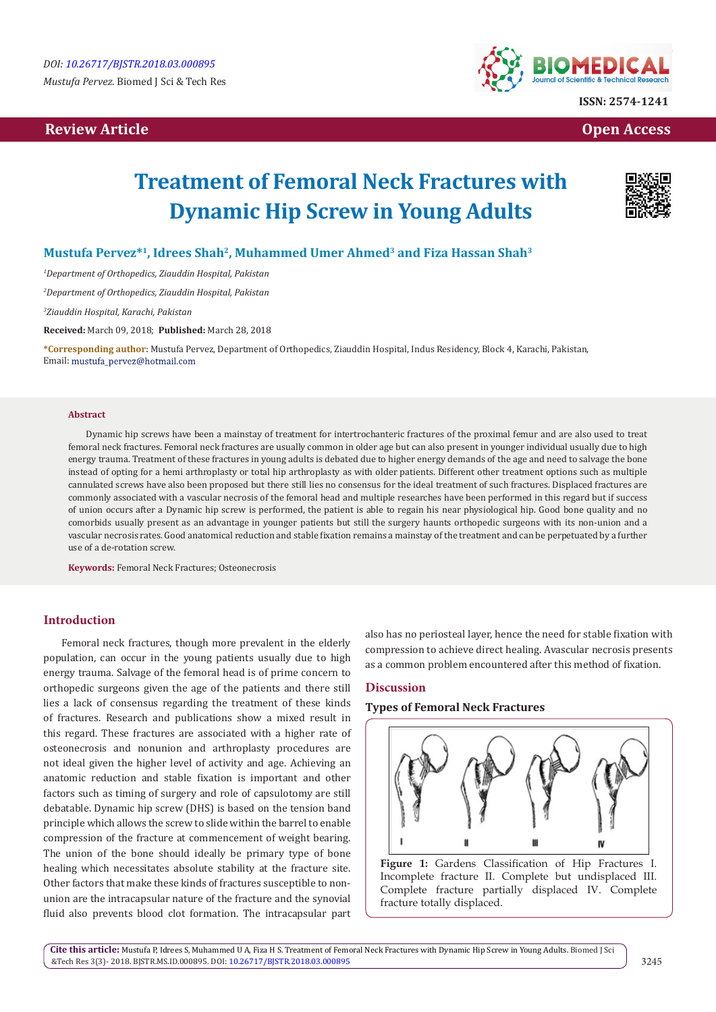## **Review Article Contract Contract Contract Contract Contract Contract Contract Contract Contract Contract Contract Contract Contract Contract Contract Contract Contract Contract Contract Contract Contract Contract Contract**



# **Treatment of Femoral Neck Fractures with Dynamic Hip Screw in Young Adults**



### **Mustufa Pervez\*1, Idrees Shah2, Muhammed Umer Ahmed3 and Fiza Hassan Shah3**

*1 Department of Orthopedics, Ziauddin Hospital, Pakistan*

*2 Department of Orthopedics, Ziauddin Hospital, Pakistan*

*3 Ziauddin Hospital, Karachi, Pakistan*

**Received:** March 09, 2018; **Published:** March 28, 2018

**\*Corresponding author:** Mustufa Pervez, Department of Orthopedics, Ziauddin Hospital, Indus Residency, Block 4, Karachi, Pakistan, Email: mustufa\_pervez@hotmail.com

#### **Abstract**

Dynamic hip screws have been a mainstay of treatment for intertrochanteric fractures of the proximal femur and are also used to treat femoral neck fractures. Femoral neck fractures are usually common in older age but can also present in younger individual usually due to high energy trauma. Treatment of these fractures in young adults is debated due to higher energy demands of the age and need to salvage the bone instead of opting for a hemi arthroplasty or total hip arthroplasty as with older patients. Different other treatment options such as multiple cannulated screws have also been proposed but there still lies no consensus for the ideal treatment of such fractures. Displaced fractures are commonly associated with a vascular necrosis of the femoral head and multiple researches have been performed in this regard but if success of union occurs after a Dynamic hip screw is performed, the patient is able to regain his near physiological hip. Good bone quality and no comorbids usually present as an advantage in younger patients but still the surgery haunts orthopedic surgeons with its non-union and a vascular necrosis rates. Good anatomical reduction and stable fixation remains a mainstay of the treatment and can be perpetuated by a further use of a de-rotation screw.

**Keywords:** Femoral Neck Fractures; Osteonecrosis

#### **Introduction**

Femoral neck fractures, though more prevalent in the elderly population, can occur in the young patients usually due to high energy trauma. Salvage of the femoral head is of prime concern to orthopedic surgeons given the age of the patients and there still lies a lack of consensus regarding the treatment of these kinds of fractures. Research and publications show a mixed result in this regard. These fractures are associated with a higher rate of osteonecrosis and nonunion and arthroplasty procedures are not ideal given the higher level of activity and age. Achieving an anatomic reduction and stable fixation is important and other factors such as timing of surgery and role of capsulotomy are still debatable. Dynamic hip screw (DHS) is based on the tension band principle which allows the screw to slide within the barrel to enable compression of the fracture at commencement of weight bearing. The union of the bone should ideally be primary type of bone healing which necessitates absolute stability at the fracture site. Other factors that make these kinds of fractures susceptible to nonunion are the intracapsular nature of the fracture and the synovial fluid also prevents blood clot formation. The intracapsular part

also has no periosteal layer, hence the need for stable fixation with compression to achieve direct healing. Avascular necrosis presents as a common problem encountered after this method of fixation.

#### **Discussion**

#### **Types of Femoral Neck Fractures**



**Figure 1:** Gardens Classification of Hip Fractures I. Incomplete fracture II. Complete but undisplaced III. Complete fracture partially displaced IV. Complete fracture totally displaced.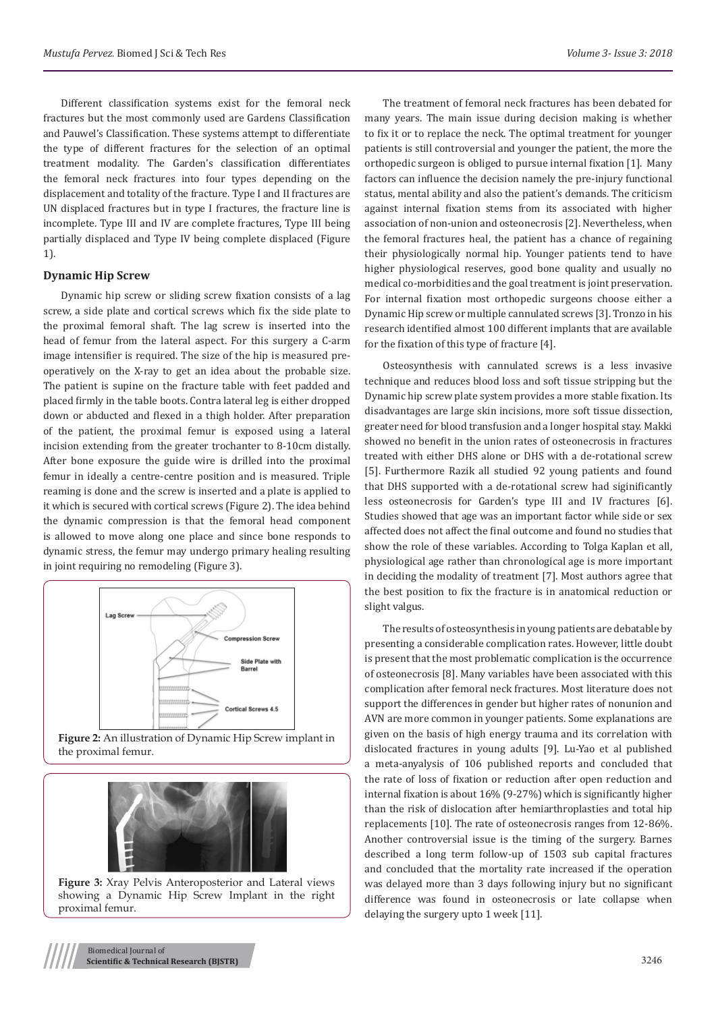Different classification systems exist for the femoral neck fractures but the most commonly used are Gardens Classification and Pauwel's Classification. These systems attempt to differentiate the type of different fractures for the selection of an optimal treatment modality. The Garden's classification differentiates the femoral neck fractures into four types depending on the displacement and totality of the fracture. Type I and II fractures are UN displaced fractures but in type I fractures, the fracture line is incomplete. Type III and IV are complete fractures, Type III being partially displaced and Type IV being complete displaced (Figure 1).

#### **Dynamic Hip Screw**

Dynamic hip screw or sliding screw fixation consists of a lag screw, a side plate and cortical screws which fix the side plate to the proximal femoral shaft. The lag screw is inserted into the head of femur from the lateral aspect. For this surgery a C-arm image intensifier is required. The size of the hip is measured preoperatively on the X-ray to get an idea about the probable size. The patient is supine on the fracture table with feet padded and placed firmly in the table boots. Contra lateral leg is either dropped down or abducted and flexed in a thigh holder. After preparation of the patient, the proximal femur is exposed using a lateral incision extending from the greater trochanter to 8-10cm distally. After bone exposure the guide wire is drilled into the proximal femur in ideally a centre-centre position and is measured. Triple reaming is done and the screw is inserted and a plate is applied to it which is secured with cortical screws (Figure 2). The idea behind the dynamic compression is that the femoral head component is allowed to move along one place and since bone responds to dynamic stress, the femur may undergo primary healing resulting in joint requiring no remodeling (Figure 3).



**Figure 2:** An illustration of Dynamic Hip Screw implant in the proximal femur.



**Figure 3:** Xray Pelvis Anteroposterior and Lateral views showing a Dynamic Hip Screw Implant in the right proximal femur.

The treatment of femoral neck fractures has been debated for many years. The main issue during decision making is whether to fix it or to replace the neck. The optimal treatment for younger patients is still controversial and younger the patient, the more the orthopedic surgeon is obliged to pursue internal fixation [1]. Many factors can influence the decision namely the pre-injury functional status, mental ability and also the patient's demands. The criticism against internal fixation stems from its associated with higher association of non-union and osteonecrosis [2]. Nevertheless, when the femoral fractures heal, the patient has a chance of regaining their physiologically normal hip. Younger patients tend to have higher physiological reserves, good bone quality and usually no medical co-morbidities and the goal treatment is joint preservation. For internal fixation most orthopedic surgeons choose either a Dynamic Hip screw or multiple cannulated screws [3]. Tronzo in his research identified almost 100 different implants that are available for the fixation of this type of fracture [4].

Osteosynthesis with cannulated screws is a less invasive technique and reduces blood loss and soft tissue stripping but the Dynamic hip screw plate system provides a more stable fixation. Its disadvantages are large skin incisions, more soft tissue dissection, greater need for blood transfusion and a longer hospital stay. Makki showed no benefit in the union rates of osteonecrosis in fractures treated with either DHS alone or DHS with a de-rotational screw [5]. Furthermore Razik all studied 92 young patients and found that DHS supported with a de-rotational screw had siginificantly less osteonecrosis for Garden's type III and IV fractures [6]. Studies showed that age was an important factor while side or sex affected does not affect the final outcome and found no studies that show the role of these variables. According to Tolga Kaplan et all, physiological age rather than chronological age is more important in deciding the modality of treatment [7]. Most authors agree that the best position to fix the fracture is in anatomical reduction or slight valgus.

The results of osteosynthesis in young patients are debatable by presenting a considerable complication rates. However, little doubt is present that the most problematic complication is the occurrence of osteonecrosis [8]. Many variables have been associated with this complication after femoral neck fractures. Most literature does not support the differences in gender but higher rates of nonunion and AVN are more common in younger patients. Some explanations are given on the basis of high energy trauma and its correlation with dislocated fractures in young adults [9]. Lu-Yao et al published a meta-anyalysis of 106 published reports and concluded that the rate of loss of fixation or reduction after open reduction and internal fixation is about 16% (9-27%) which is significantly higher than the risk of dislocation after hemiarthroplasties and total hip replacements [10]. The rate of osteonecrosis ranges from 12-86%. Another controversial issue is the timing of the surgery. Barnes described a long term follow-up of 1503 sub capital fractures and concluded that the mortality rate increased if the operation was delayed more than 3 days following injury but no significant difference was found in osteonecrosis or late collapse when delaying the surgery upto 1 week [11].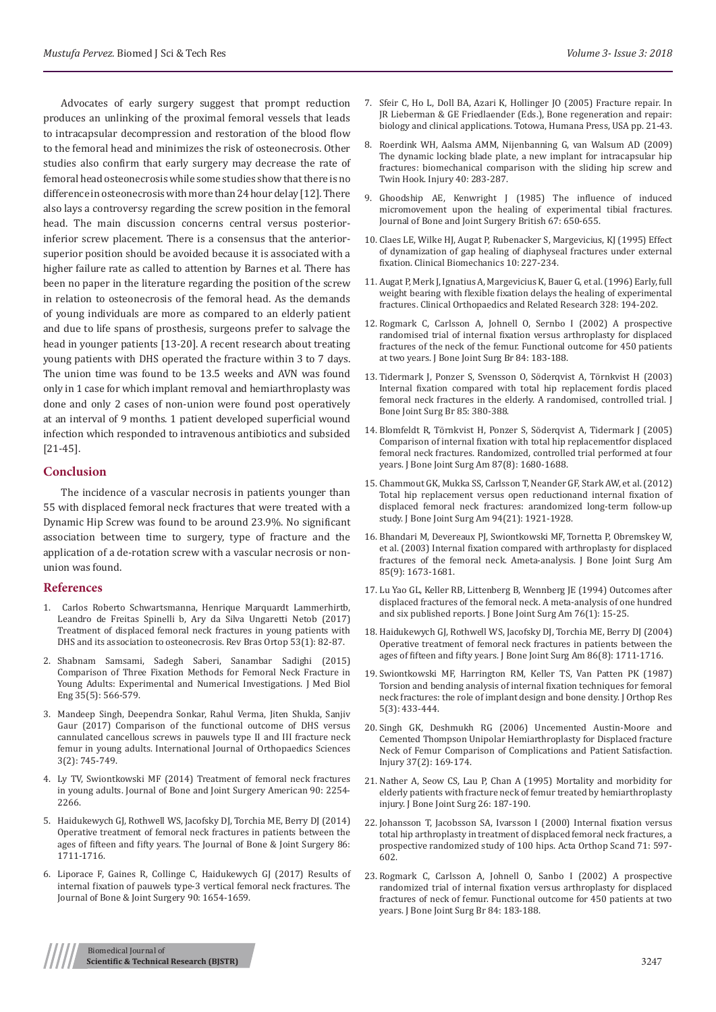Advocates of early surgery suggest that prompt reduction produces an unlinking of the proximal femoral vessels that leads to intracapsular decompression and restoration of the blood flow to the femoral head and minimizes the risk of osteonecrosis. Other studies also confirm that early surgery may decrease the rate of femoral head osteonecrosis while some studies show that there is no difference in osteonecrosis with more than 24 hour delay [12]. There also lays a controversy regarding the screw position in the femoral head. The main discussion concerns central versus posteriorinferior screw placement. There is a consensus that the anteriorsuperior position should be avoided because it is associated with a higher failure rate as called to attention by Barnes et al. There has been no paper in the literature regarding the position of the screw in relation to osteonecrosis of the femoral head. As the demands of young individuals are more as compared to an elderly patient and due to life spans of prosthesis, surgeons prefer to salvage the head in younger patients [13-20]. A recent research about treating young patients with DHS operated the fracture within 3 to 7 days. The union time was found to be 13.5 weeks and AVN was found only in 1 case for which implant removal and hemiarthroplasty was done and only 2 cases of non-union were found post operatively at an interval of 9 months. 1 patient developed superficial wound infection which responded to intravenous antibiotics and subsided [21-45].

#### **Conclusion**

The incidence of a vascular necrosis in patients younger than 55 with displaced femoral neck fractures that were treated with a Dynamic Hip Screw was found to be around 23.9%. No significant association between time to surgery, type of fracture and the application of a de-rotation screw with a vascular necrosis or nonunion was found.

#### **References**

- 1. [Carlos Roberto Schwartsmanna, Henrique Marquardt Lammerhirtb,](https://www.ncbi.nlm.nih.gov/pmc/articles/PMC5771783/)  [Leandro de Freitas Spinelli b, Ary da Silva Ungaretti Netob \(2017\)](https://www.ncbi.nlm.nih.gov/pmc/articles/PMC5771783/)  [Treatment of displaced femoral neck fractures in young patients with](https://www.ncbi.nlm.nih.gov/pmc/articles/PMC5771783/)  [DHS and its association to osteonecrosis. Rev Bras Ortop 53\(1\): 82-87.](https://www.ncbi.nlm.nih.gov/pmc/articles/PMC5771783/)
- 2. [Shabnam Samsami, Sadegh Saberi, Sanambar Sadighi \(2015\)](https://www.ncbi.nlm.nih.gov/pubmed/26500470)  [Comparison of Three Fixation Methods for Femoral Neck Fracture in](https://www.ncbi.nlm.nih.gov/pubmed/26500470)  [Young Adults: Experimental and Numerical Investigations. J Med Biol](https://www.ncbi.nlm.nih.gov/pubmed/26500470)  [Eng 35\(5\): 566-579.](https://www.ncbi.nlm.nih.gov/pubmed/26500470)
- 3. [Mandeep Singh, Deependra Sonkar, Rahul Verma, Jiten Shukla, Sanjiv](http://www.orthopaper.com/archives/2017/vol3issue2/PartH/3-2-10-314.pdf)  [Gaur \(2017\) Comparison of the functional outcome of DHS versus](http://www.orthopaper.com/archives/2017/vol3issue2/PartH/3-2-10-314.pdf)  [cannulated cancellous screws in pauwels type II and III fracture neck](http://www.orthopaper.com/archives/2017/vol3issue2/PartH/3-2-10-314.pdf)  [femur in young adults. International Journal of Orthopaedics Sciences](http://www.orthopaper.com/archives/2017/vol3issue2/PartH/3-2-10-314.pdf)  [3\(2\): 745-749.](http://www.orthopaper.com/archives/2017/vol3issue2/PartH/3-2-10-314.pdf)
- 4. [Ly TV, Swiontkowski MF \(2014\) Treatment of femoral neck fractures](https://www.ncbi.nlm.nih.gov/pubmed/18829925)  [in young adults. Journal of Bone and Joint Surgery American 90: 2254-](https://www.ncbi.nlm.nih.gov/pubmed/18829925) [2266.](https://www.ncbi.nlm.nih.gov/pubmed/18829925)
- 5. [Haidukewych GJ, Rothwell WS, Jacofsky DJ, Torchia ME, Berry DJ \(2014\)](https://www.ncbi.nlm.nih.gov/pubmed/15292419)  [Operative treatment of femoral neck fractures in patients between the](https://www.ncbi.nlm.nih.gov/pubmed/15292419)  [ages of fifteen and fifty years. The Journal of Bone & Joint Surgery 86:](https://www.ncbi.nlm.nih.gov/pubmed/15292419)  [1711-1716.](https://www.ncbi.nlm.nih.gov/pubmed/15292419)
- 6. [Liporace F, Gaines R, Collinge C, Haidukewych GJ \(2017\) Results of](https://www.ncbi.nlm.nih.gov/pubmed/18676894)  [internal fixation of pauwels type-3 vertical femoral neck fractures. The](https://www.ncbi.nlm.nih.gov/pubmed/18676894)  [Journal of Bone & Joint Surgery 90: 1654-1659.](https://www.ncbi.nlm.nih.gov/pubmed/18676894)
- 7. Sfeir C, Ho L, Doll BA, Azari K, Hollinger JO (2005) Fracture repair. In JR Lieberman & GE Friedlaender (Eds.), Bone regeneration and repair: biology and clinical applications. Totowa, Humana Press, USA pp. 21-43.
- 8. [Roerdink WH, Aalsma AMM, Nijenbanning G, van Walsum AD \(2009\)](https://www.ncbi.nlm.nih.gov/pubmed/19193375) [The dynamic locking blade plate, a new implant for intracapsular hip](https://www.ncbi.nlm.nih.gov/pubmed/19193375) [fractures: biomechanical comparison with the sliding hip screw and](https://www.ncbi.nlm.nih.gov/pubmed/19193375) [Twin Hook. Injury 40: 283-287.](https://www.ncbi.nlm.nih.gov/pubmed/19193375)
- 9. [Ghoodship AE, Kenwright J \(1985\) The influence of induced](https://www.ncbi.nlm.nih.gov/pubmed/4030869) [micromovement upon the healing of experimental tibial fractures.](https://www.ncbi.nlm.nih.gov/pubmed/4030869) [Journal of Bone and Joint Surgery British 67: 650-655.](https://www.ncbi.nlm.nih.gov/pubmed/4030869)
- 10. [Claes LE, Wilke HJ, Augat P, Rubenacker S, Margevicius, KJ \(1995\) Effect](https://www.ncbi.nlm.nih.gov/pubmed/11415558) [of dynamization of gap healing of diaphyseal fractures under external](https://www.ncbi.nlm.nih.gov/pubmed/11415558) [fixation. Clinical Biomechanics 10: 227-234.](https://www.ncbi.nlm.nih.gov/pubmed/11415558)
- 11. [Augat P, Merk J, Ignatius A, Margevicius K, Bauer G, et al. \(1996\) Early, full](https://www.ncbi.nlm.nih.gov/pubmed/8653957) [weight bearing with flexible fixation delays the healing of experimental](https://www.ncbi.nlm.nih.gov/pubmed/8653957) [fractures. Clinical Orthopaedics and Related Research 328: 194-202.](https://www.ncbi.nlm.nih.gov/pubmed/8653957)
- 12. [Rogmark C, Carlsson A, Johnell O, Sernbo I \(2002\) A prospective](https://www.ncbi.nlm.nih.gov/pubmed/11922358) [randomised trial of internal fixation versus arthroplasty for displaced](https://www.ncbi.nlm.nih.gov/pubmed/11922358) [fractures of the neck of the femur. Functional outcome for 450 patients](https://www.ncbi.nlm.nih.gov/pubmed/11922358) [at two years. J Bone Joint Surg Br 84: 183-188.](https://www.ncbi.nlm.nih.gov/pubmed/11922358)
- 13. [Tidermark J, Ponzer S, Svensson O, Söderqvist A, Törnkvist H \(2003\)](https://www.ncbi.nlm.nih.gov/pubmed/12729114) [Internal fixation compared with total hip replacement fordis placed](https://www.ncbi.nlm.nih.gov/pubmed/12729114) [femoral neck fractures in the elderly. A randomised, controlled trial. J](https://www.ncbi.nlm.nih.gov/pubmed/12729114) [Bone Joint Surg Br 85: 380-388.](https://www.ncbi.nlm.nih.gov/pubmed/12729114)
- 14. [Blomfeldt R, Törnkvist H, Ponzer S, Söderqvist A, Tidermark J \(2005\)](https://www.ncbi.nlm.nih.gov/pubmed/16085605) [Comparison of internal fixation with total hip replacementfor displaced](https://www.ncbi.nlm.nih.gov/pubmed/16085605) [femoral neck fractures. Randomized, controlled trial performed at four](https://www.ncbi.nlm.nih.gov/pubmed/16085605) [years. J Bone Joint Surg Am 87\(8\): 1680-1688.](https://www.ncbi.nlm.nih.gov/pubmed/16085605)
- 15. [Chammout GK, Mukka SS, Carlsson T, Neander GF, Stark AW, et al. \(2012\)](https://www.ncbi.nlm.nih.gov/pubmed/23014835) [Total hip replacement versus open reductionand internal fixation of](https://www.ncbi.nlm.nih.gov/pubmed/23014835) [displaced femoral neck fractures: arandomized long-term follow-up](https://www.ncbi.nlm.nih.gov/pubmed/23014835) [study. J Bone Joint Surg Am 94\(21\): 1921-1928.](https://www.ncbi.nlm.nih.gov/pubmed/23014835)
- 16. [Bhandari M, Devereaux PJ, Swiontkowski MF, Tornetta P, Obremskey W,](https://www.ncbi.nlm.nih.gov/pubmed/12954824) [et al. \(2003\) Internal fixation compared with arthroplasty for displaced](https://www.ncbi.nlm.nih.gov/pubmed/12954824) [fractures of the femoral neck. Ameta-analysis. J Bone Joint Surg Am](https://www.ncbi.nlm.nih.gov/pubmed/12954824) [85\(9\): 1673-1681.](https://www.ncbi.nlm.nih.gov/pubmed/12954824)
- 17. [Lu Yao GL, Keller RB, Littenberg B, Wennberg JE \(1994\) Outcomes after](https://www.ncbi.nlm.nih.gov/pubmed/8288658) [displaced fractures of the femoral neck. A meta-analysis of one hundred](https://www.ncbi.nlm.nih.gov/pubmed/8288658) [and six published reports. J Bone Joint Surg Am 76\(1\): 15-25.](https://www.ncbi.nlm.nih.gov/pubmed/8288658)
- 18. [Haidukewych GJ, Rothwell WS, Jacofsky DJ, Torchia ME, Berry DJ \(2004\)](https://www.ncbi.nlm.nih.gov/pubmed/15292419) [Operative treatment of femoral neck fractures in patients between the](https://www.ncbi.nlm.nih.gov/pubmed/15292419) [ages of fifteen and fifty years. J Bone Joint Surg Am 86\(8\): 1711-1716.](https://www.ncbi.nlm.nih.gov/pubmed/15292419)
- 19. [Swiontkowski MF, Harrington RM, Keller TS, Van Patten PK \(1987\)](https://www.ncbi.nlm.nih.gov/pubmed/3625366) [Torsion and bending analysis of internal fixation techniques for femoral](https://www.ncbi.nlm.nih.gov/pubmed/3625366) [neck fractures: the role of implant design and bone density. J Orthop Res](https://www.ncbi.nlm.nih.gov/pubmed/3625366) [5\(3\): 433-444.](https://www.ncbi.nlm.nih.gov/pubmed/3625366)
- 20. [Singh GK, Deshmukh RG \(2006\) Uncemented Austin-Moore and](https://www.ncbi.nlm.nih.gov/pubmed/16413024) [Cemented Thompson Unipolar Hemiarthroplasty for Displaced fracture](https://www.ncbi.nlm.nih.gov/pubmed/16413024) [Neck of Femur Comparison of Complications and Patient Satisfaction.](https://www.ncbi.nlm.nih.gov/pubmed/16413024) [Injury 37\(2\): 169-174.](https://www.ncbi.nlm.nih.gov/pubmed/16413024)
- 21. [Nather A, Seow CS, Lau P, Chan A \(1995\) Mortality and morbidity for](https://www.ncbi.nlm.nih.gov/pubmed/7744476) [elderly patients with fracture neck of femur treated by hemiarthroplasty](https://www.ncbi.nlm.nih.gov/pubmed/7744476) [injury. J Bone Joint Surg 26: 187-190.](https://www.ncbi.nlm.nih.gov/pubmed/7744476)
- 22. [Johansson T, Jacobsson SA, Ivarsson I \(2000\) Internal fixation versus](https://www.ncbi.nlm.nih.gov/pubmed/11145387) [total hip arthroplasty in treatment of displaced femoral neck fractures, a](https://www.ncbi.nlm.nih.gov/pubmed/11145387) [prospective randomized study of 100 hips. Acta Orthop Scand 71: 597-](https://www.ncbi.nlm.nih.gov/pubmed/11145387) [602.](https://www.ncbi.nlm.nih.gov/pubmed/11145387)
- 23. [Rogmark C, Carlsson A, Johnell O, Sanbo I \(2002\) A prospective](https://www.ncbi.nlm.nih.gov/pubmed/11922358) [randomized trial of internal fixation versus arthroplasty for displaced](https://www.ncbi.nlm.nih.gov/pubmed/11922358) [fractures of neck of femur. Functional outcome for 450 patients at two](https://www.ncbi.nlm.nih.gov/pubmed/11922358) [years. J Bone Joint Surg Br 84: 183-188.](https://www.ncbi.nlm.nih.gov/pubmed/11922358)